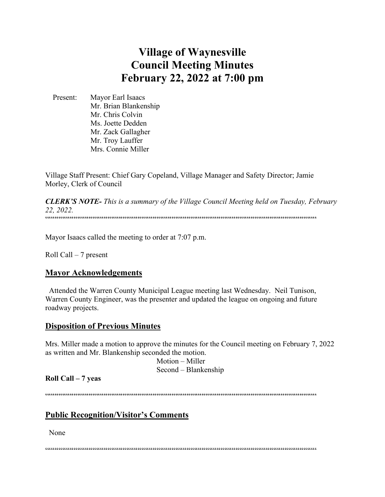# **Village of Waynesville Council Meeting Minutes February 22, 2022 at 7:00 pm**

 Present: Mayor Earl Isaacs Mr. Brian Blankenship Mr. Chris Colvin Ms. Joette Dedden Mr. Zack Gallagher Mr. Troy Lauffer Mrs. Connie Miller

Village Staff Present: Chief Gary Copeland, Village Manager and Safety Director; Jamie Morley, Clerk of Council

*CLERK'S NOTE- This is a summary of the Village Council Meeting held on Tuesday, February 22, 2022.*   $\label{prop:main}$ 

Mayor Isaacs called the meeting to order at 7:07 p.m.

Roll Call – 7 present

#### **Mayor Acknowledgements**

 Attended the Warren County Municipal League meeting last Wednesday. Neil Tunison, Warren County Engineer, was the presenter and updated the league on ongoing and future roadway projects.

#### **Disposition of Previous Minutes**

Mrs. Miller made a motion to approve the minutes for the Council meeting on February 7, 2022 as written and Mr. Blankenship seconded the motion.

 Motion – Miller Second – Blankenship

### **Roll Call – 7 yeas**

""""""""""""""""""""""""""""""""""""""""""""""""""""""""""""""""""""""""

### **Public Recognition/Visitor's Comments**

None

 $\label{prop:main} \hspace{15pt} \hspace{15pt} \textcolor{black}{\bullet} \hspace{15pt} \textcolor{black}{\bullet} \hspace{15pt} \textcolor{black}{\bullet} \hspace{15pt} \textcolor{black}{\bullet} \hspace{15pt} \textcolor{black}{\bullet} \hspace{15pt} \textcolor{black}{\bullet} \hspace{15pt} \textcolor{black}{\bullet} \hspace{15pt} \textcolor{black}{\bullet} \hspace{15pt} \textcolor{black}{\bullet} \hspace{15pt} \textcolor{black}{\bullet} \hspace{15pt} \textcolor{black}{\bullet} \hspace{15pt} \textcolor{black}{\bullet} \$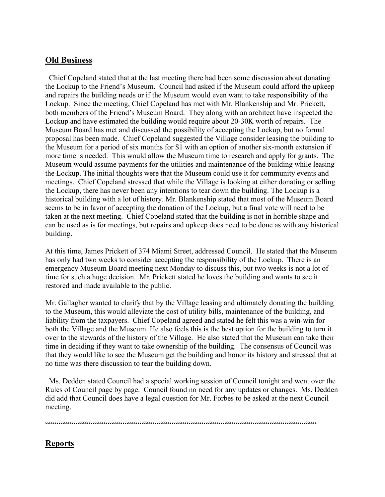# **Old Business**

 Chief Copeland stated that at the last meeting there had been some discussion about donating the Lockup to the Friend's Museum. Council had asked if the Museum could afford the upkeep and repairs the building needs or if the Museum would even want to take responsibility of the Lockup. Since the meeting, Chief Copeland has met with Mr. Blankenship and Mr. Prickett, both members of the Friend's Museum Board. They along with an architect have inspected the Lockup and have estimated the building would require about 20-30K worth of repairs. The Museum Board has met and discussed the possibility of accepting the Lockup, but no formal proposal has been made. Chief Copeland suggested the Village consider leasing the building to the Museum for a period of six months for \$1 with an option of another six-month extension if more time is needed. This would allow the Museum time to research and apply for grants. The Museum would assume payments for the utilities and maintenance of the building while leasing the Lockup. The initial thoughts were that the Museum could use it for community events and meetings. Chief Copeland stressed that while the Village is looking at either donating or selling the Lockup, there has never been any intentions to tear down the building. The Lockup is a historical building with a lot of history. Mr. Blankenship stated that most of the Museum Board seems to be in favor of accepting the donation of the Lockup, but a final vote will need to be taken at the next meeting. Chief Copeland stated that the building is not in horrible shape and can be used as is for meetings, but repairs and upkeep does need to be done as with any historical building.

At this time, James Prickett of 374 Miami Street, addressed Council. He stated that the Museum has only had two weeks to consider accepting the responsibility of the Lockup. There is an emergency Museum Board meeting next Monday to discuss this, but two weeks is not a lot of time for such a huge decision. Mr. Prickett stated he loves the building and wants to see it restored and made available to the public.

Mr. Gallagher wanted to clarify that by the Village leasing and ultimately donating the building to the Museum, this would alleviate the cost of utility bills, maintenance of the building, and liability from the taxpayers. Chief Copeland agreed and stated he felt this was a win-win for both the Village and the Museum. He also feels this is the best option for the building to turn it over to the stewards of the history of the Village. He also stated that the Museum can take their time in deciding if they want to take ownership of the building. The consensus of Council was that they would like to see the Museum get the building and honor its history and stressed that at no time was there discussion to tear the building down.

 Ms. Dedden stated Council had a special working session of Council tonight and went over the Rules of Council page by page. Council found no need for any updates or changes. Ms. Dedden did add that Council does have a legal question for Mr. Forbes to be asked at the next Council meeting.

""""""""""""""""""""""""""""""""""""""""""""""""""""""""""""""""""""""""

# **Reports**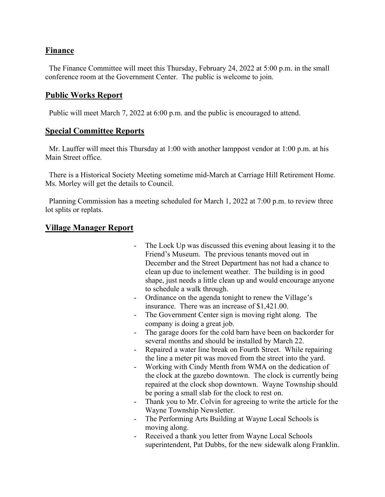## **Finance**

 The Finance Committee will meet this Thursday, February 24, 2022 at 5:00 p.m. in the small conference room at the Government Center. The public is welcome to join.

## **Public Works Report**

Public will meet March 7, 2022 at 6:00 p.m. and the public is encouraged to attend.

## **Special Committee Reports**

 Mr. Lauffer will meet this Thursday at 1:00 with another lamppost vendor at 1:00 p.m. at his Main Street office.

 There is a Historical Society Meeting sometime mid-March at Carriage Hill Retirement Home. Ms. Morley will get the details to Council.

 Planning Commission has a meeting scheduled for March 1, 2022 at 7:00 p.m. to review three lot splits or replats.

## **Village Manager Report**

- The Lock Up was discussed this evening about leasing it to the Friend's Museum. The previous tenants moved out in December and the Street Department has not had a chance to clean up due to inclement weather. The building is in good shape, just needs a little clean up and would encourage anyone to schedule a walk through.
- Ordinance on the agenda tonight to renew the Village's insurance. There was an increase of \$1,421.00.
- The Government Center sign is moving right along. The company is doing a great job.
- The garage doors for the cold barn have been on backorder for several months and should be installed by March 22.
- Repaired a water line break on Fourth Street. While repairing the line a meter pit was moved from the street into the yard.
- Working with Cindy Menth from WMA on the dedication of the clock at the gazebo downtown. The clock is currently being repaired at the clock shop downtown. Wayne Township should be poring a small slab for the clock to rest on.
- Thank you to Mr. Colvin for agreeing to write the article for the Wayne Township Newsletter.
- The Performing Arts Building at Wayne Local Schools is moving along.
- Received a thank you letter from Wayne Local Schools superintendent, Pat Dubbs, for the new sidewalk along Franklin.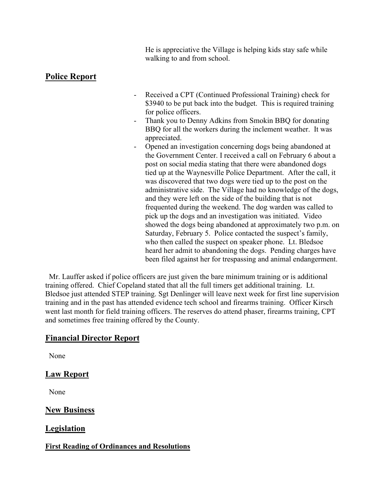He is appreciative the Village is helping kids stay safe while walking to and from school.

# **Police Report**

- Received a CPT (Continued Professional Training) check for \$3940 to be put back into the budget. This is required training for police officers.
- Thank you to Denny Adkins from Smokin BBQ for donating BBQ for all the workers during the inclement weather. It was appreciated.
- Opened an investigation concerning dogs being abandoned at the Government Center. I received a call on February 6 about a post on social media stating that there were abandoned dogs tied up at the Waynesville Police Department. After the call, it was discovered that two dogs were tied up to the post on the administrative side. The Village had no knowledge of the dogs, and they were left on the side of the building that is not frequented during the weekend. The dog warden was called to pick up the dogs and an investigation was initiated. Video showed the dogs being abandoned at approximately two p.m. on Saturday, February 5. Police contacted the suspect's family, who then called the suspect on speaker phone. Lt. Bledsoe heard her admit to abandoning the dogs. Pending charges have been filed against her for trespassing and animal endangerment.

 Mr. Lauffer asked if police officers are just given the bare minimum training or is additional training offered. Chief Copeland stated that all the full timers get additional training. Lt. Bledsoe just attended STEP training. Sgt Denlinger will leave next week for first line supervision training and in the past has attended evidence tech school and firearms training. Officer Kirsch went last month for field training officers. The reserves do attend phaser, firearms training, CPT and sometimes free training offered by the County.

# **Financial Director Report**

None

# **Law Report**

None

# **New Business**

# **Legislation**

### **First Reading of Ordinances and Resolutions**